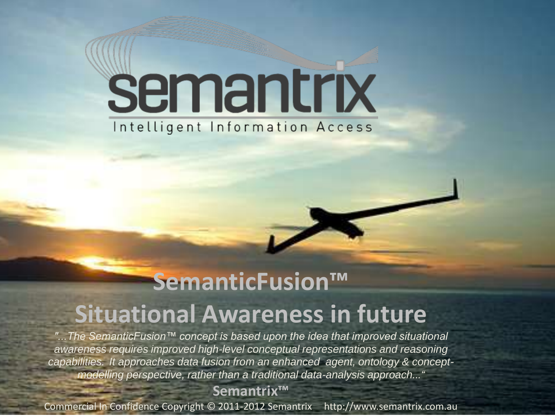# semantrix Intelligent Information Access

### **SemanticFusion™ Situational Awareness in future**

*"...The SemanticFusion™ concept is based upon the idea that improved situational awareness requires improved high-level conceptual representations and reasoning capabilities. It approaches data fusion from an enhanced agent, ontology & conceptmodelling perspective, rather than a traditional data-analysis approach..."*

**Semantrix™**

Commercial In Confidence Copyright © 2011-2012 Semantrix http://www.semantrix.com.au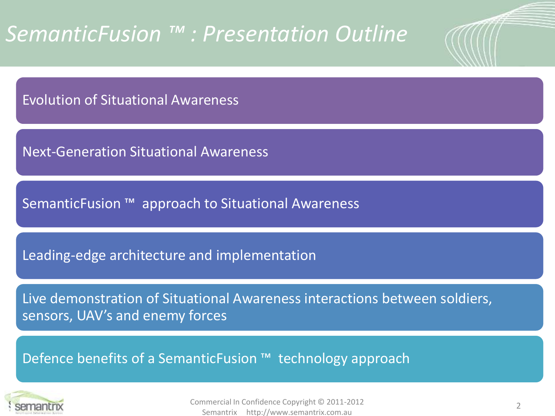### *SemanticFusion ™ : Presentation Outline*

Evolution of Situational Awareness

Next-Generation Situational Awareness

SemanticFusion ™ approach to Situational Awareness

Leading-edge architecture and implementation

Live demonstration of Situational Awareness interactions between soldiers, sensors, UAV's and enemy forces

Defence benefits of a SemanticFusion ™ technology approach

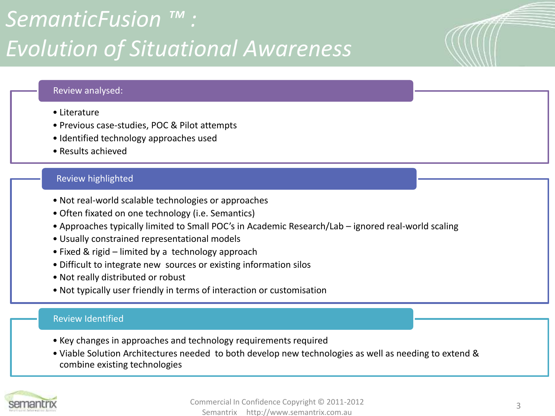### *SemanticFusion ™ : Evolution of Situational Awareness*

### Review analysed:

- Literature
- Previous case-studies, POC & Pilot attempts
- Identified technology approaches used
- Results achieved

### Review highlighted

- Not real-world scalable technologies or approaches
- Often fixated on one technology (i.e. Semantics)
- Approaches typically limited to Small POC's in Academic Research/Lab ignored real-world scaling
- Usually constrained representational models
- Fixed & rigid limited by a technology approach
- Difficult to integrate new sources or existing information silos
- Not really distributed or robust
- Not typically user friendly in terms of interaction or customisation

### Review Identified

- Key changes in approaches and technology requirements required
- Viable Solution Architectures needed to both develop new technologies as well as needing to extend & combine existing technologies

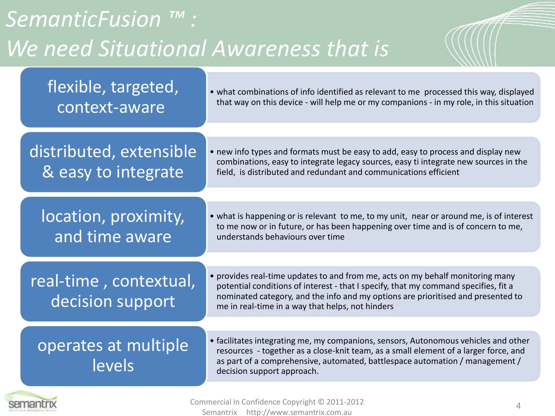| <b>SemanticFusion</b><br>We need Situational Awareness that is |                                                |                                                                                                                                                                                                                                                                                                               |  |  |
|----------------------------------------------------------------|------------------------------------------------|---------------------------------------------------------------------------------------------------------------------------------------------------------------------------------------------------------------------------------------------------------------------------------------------------------------|--|--|
|                                                                | flexible, targeted,<br>context-aware           | • what combinations of info identified as relevant to me processed this way, displayed<br>that way on this device - will help me or my companions - in my role, in this situation                                                                                                                             |  |  |
|                                                                | distributed, extensible<br>& easy to integrate | • new info types and formats must be easy to add, easy to process and display new<br>combinations, easy to integrate legacy sources, easy ti integrate new sources in the<br>field, is distributed and redundant and communications efficient                                                                 |  |  |
|                                                                | location, proximity,<br>and time aware         | • what is happening or is relevant to me, to my unit, near or around me, is of interest<br>to me now or in future, or has been happening over time and is of concern to me,<br>understands behaviours over time                                                                                               |  |  |
|                                                                | real-time, contextual,<br>decision support     | • provides real-time updates to and from me, acts on my behalf monitoring many<br>potential conditions of interest - that I specify, that my command specifies, fit a<br>nominated category, and the info and my options are prioritised and presented to<br>me in real-time in a way that helps, not hinders |  |  |
|                                                                | operates at multiple<br>levels                 | • facilitates integrating me, my companions, sensors, Autonomous vehicles and other<br>resources - together as a close-knit team, as a small element of a larger force, and<br>as part of a comprehensive, automated, battlespace automation / management /<br>decision support approach.                     |  |  |

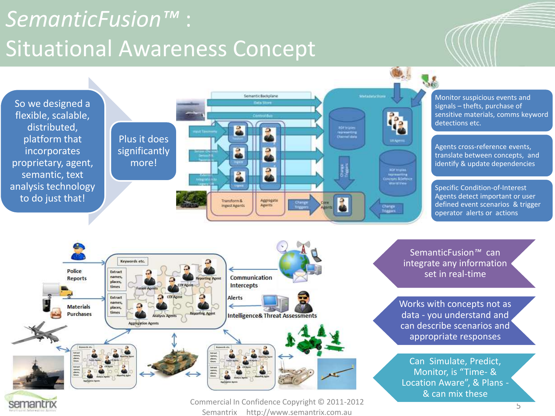### *SemanticFusion™* : Situational Awareness Concept





semantrix

Commercial In Confidence Copyright © 2011-2012 Semantrix http://www.semantrix.com.au

SemanticFusion*™* can integrate any information set in real-time

Works with concepts not as data - you understand and can describe scenarios and appropriate responses

Can Simulate, Predict, Monitor, is "Time- & Location Aware", & Plans - & can mix these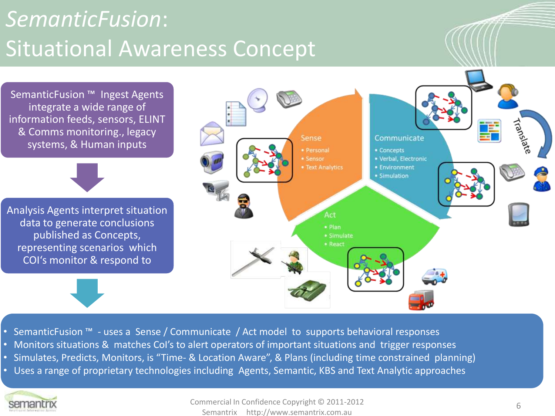### *SemanticFusion*: Situational Awareness Concept

SemanticFusion ™ Ingest Agents integrate a wide range of information feeds, sensors, ELINT & Comms monitoring., legacy systems, & Human inputs

Analysis Agents interpret situation data to generate conclusions published as Concepts, representing scenarios which COI's monitor & respond to



- SemanticFusion ™ uses a Sense / Communicate / Act model to supports behavioral responses
- Monitors situations & matches CoI's to alert operators of important situations and trigger responses
- Simulates, Predicts, Monitors, is "Time- & Location Aware", & Plans (including time constrained planning)
- Uses a range of proprietary technologies including Agents, Semantic, KBS and Text Analytic approaches

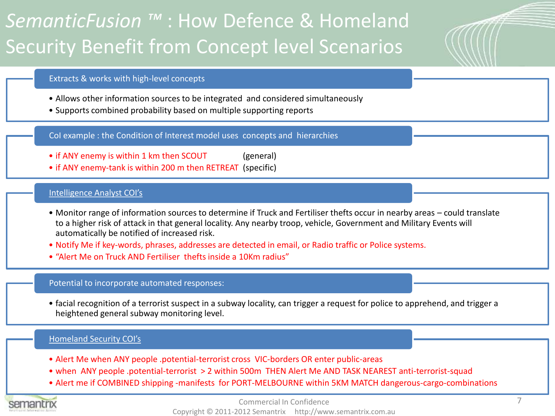### *SemanticFusion ™* : How Defence & Homeland Security Benefit from Concept level Scenarios

### Extracts & works with high-level concepts

- Allows other information sources to be integrated and considered simultaneously
- Supports combined probability based on multiple supporting reports

CoI example : the Condition of Interest model uses concepts and hierarchies

- if ANY enemy is within 1 km then SCOUT (general)
- if ANY enemy-tank is within 200 m then RETREAT (specific)

### Intelligence Analyst COI's

- Monitor range of information sources to determine if Truck and Fertiliser thefts occur in nearby areas could translate to a higher risk of attack in that general locality. Any nearby troop, vehicle, Government and Military Events will automatically be notified of increased risk.
- Notify Me if key-words, phrases, addresses are detected in email, or Radio traffic or Police systems.
- "Alert Me on Truck AND Fertiliser thefts inside a 10Km radius"

### Potential to incorporate automated responses:

• facial recognition of a terrorist suspect in a subway locality, can trigger a request for police to apprehend, and trigger a heightened general subway monitoring level.

### Homeland Security COI's

- Alert Me when ANY people .potential-terrorist cross VIC-borders OR enter public-areas
- when ANY people .potential-terrorist > 2 within 500m THEN Alert Me AND TASK NEAREST anti-terrorist-squad
- Alert me if COMBINED shipping -manifests for PORT-MELBOURNE within 5KM MATCH dangerous-cargo-combinations

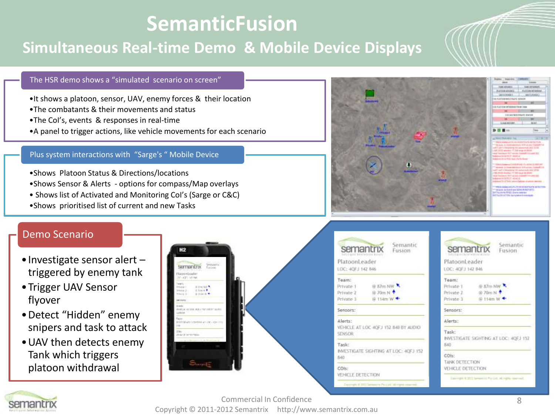### **SemanticFusion**

### **Simultaneous Real-time Demo & Mobile Device Displays**

### The HSR demo shows a "simulated scenario on screen"

- •It shows a platoon, sensor, UAV, enemy forces & their location
- •The combatants & their movements and status
- •The CoI's, events & responses in real-time
- •A panel to trigger actions, like vehicle movements for each scenario

#### Plus system interactions with "Sarge's " Mobile Device

- •Shows Platoon Status & Directions/locations
- •Shows Sensor & Alerts options for compass/Map overlays
- Shows list of Activated and Monitoring CoI's (Sarge or C&C)
- •Shows prioritised list of current and new Tasks

### Demo Scenario

- •Investigate sensor alert triggered by enemy tank
- •Trigger UAV Sensor flyover
- •Detect "Hidden" enemy snipers and task to attack
- •UAV then detects enemy Tank which triggers platoon withdrawal







| Semantic                                                                    | Semantic                                              |  |
|-----------------------------------------------------------------------------|-------------------------------------------------------|--|
| semantrix                                                                   | semantrix                                             |  |
| Fusion                                                                      | Fusion                                                |  |
| PlatoonLeader                                                               | PlatoonLeader                                         |  |
| LOC: 4GFJ 142 846                                                           | LOC: 40FJ 142 846                                     |  |
| Team:                                                                       | Team:                                                 |  |
| @ 57m NW                                                                    | @ 87m NW                                              |  |
| Private 1                                                                   | Private 1                                             |  |
| 命 70cm N +                                                                  | @ 70m N +                                             |  |
| Private 2                                                                   | Private 2                                             |  |
| <b>自 114m W ←</b>                                                           | @ 11-tm W <                                           |  |
| Private 1                                                                   | Private 3                                             |  |
| Sensors:                                                                    | Sensors:                                              |  |
| Alerts:<br>VEHICLE AT LOC 40FJ 152 840 BY AUDIO<br>SENSOR                   | Alerts:<br>Task:                                      |  |
| Task:                                                                       | INVESTIGATE SIGHTING AT LOC: 40EJ 152                 |  |
| INVESTIGATE SIGNITING AT LOC: 40FJ 152                                      | RAD                                                   |  |
| 840                                                                         | COIs:                                                 |  |
| COH:                                                                        | TANK DETECTION                                        |  |
| VEHICLE DETECTION                                                           | VEHICLE DETECTION                                     |  |
| the contract of the form of the contract of the contract of the contract of | Corrupt # 2011 Senators Par Lid. All rights inserval. |  |

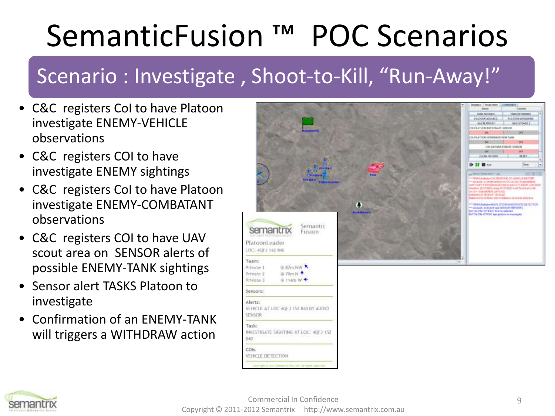# SemanticFusion ™ POC Scenarios

### Scenario : Investigate , Shoot-to-Kill, "Run-Away!"

- C&C registers CoI to have Platoon investigate ENEMY-VEHICLE observations
- C&C registers COI to have investigate ENEMY sightings
- C&C registers CoI to have Platoon investigate ENEMY-COMBATANT observations
- C&C registers COI to have UAV scout area on SENSOR alerts of possible ENEMY-TANK sightings
- Sensor alert TASKS Platoon to investigate
- Confirmation of an ENEMY-TANK will triggers a WITHDRAW action



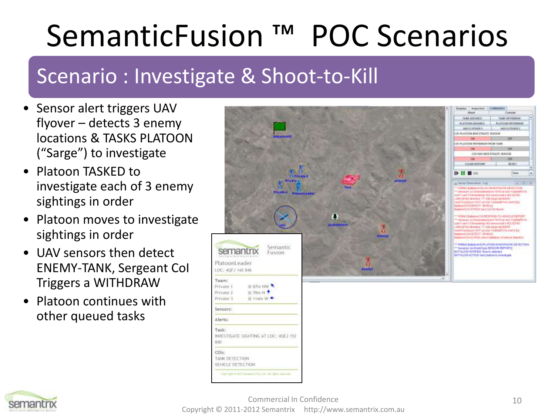# SemanticFusion ™ POC Scenarios

### Scenario : Investigate & Shoot-to-Kill

- Sensor alert triggers UAV flyover – detects 3 enemy locations & TASKS PLATOON ("Sarge") to investigate
- Platoon TASKED to investigate each of 3 enemy sightings in order
- Platoon moves to investigate sightings in order
- UAV sensors then detect ENEMY-TANK, Sergeant CoI Triggers a WITHDRAW
- Platoon continues with other queued tasks



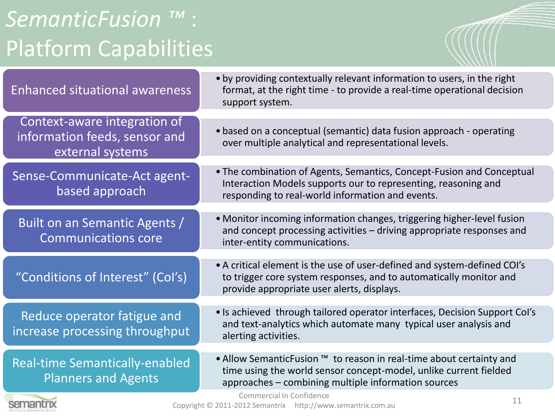### *SemanticFusion ™* : Platform Capabilities

| <b>Enhanced situational awareness</b>                                             | . by providing contextually relevant information to users, in the right<br>format, at the right time - to provide a real-time operational decision<br>support system.                           |
|-----------------------------------------------------------------------------------|-------------------------------------------------------------------------------------------------------------------------------------------------------------------------------------------------|
|                                                                                   |                                                                                                                                                                                                 |
| Context-aware integration of<br>information feeds, sensor and<br>external systems | • based on a conceptual (semantic) data fusion approach - operating<br>over multiple analytical and representational levels.                                                                    |
|                                                                                   |                                                                                                                                                                                                 |
| Sense-Communicate-Act agent-<br>based approach                                    | • The combination of Agents, Semantics, Concept-Fusion and Conceptual<br>Interaction Models supports our to representing, reasoning and<br>responding to real-world information and events.     |
|                                                                                   |                                                                                                                                                                                                 |
| Built on an Semantic Agents /<br><b>Communications core</b>                       | • Monitor incoming information changes, triggering higher-level fusion<br>and concept processing activities - driving appropriate responses and<br>inter-entity communications.                 |
|                                                                                   |                                                                                                                                                                                                 |
| "Conditions of Interest" (Col's)                                                  | • A critical element is the use of user-defined and system-defined COI's<br>to trigger core system responses, and to automatically monitor and<br>provide appropriate user alerts, displays.    |
|                                                                                   |                                                                                                                                                                                                 |
| Reduce operator fatigue and<br>increase processing throughput                     | • Is achieved through tailored operator interfaces, Decision Support Col's<br>and text-analytics which automate many typical user analysis and<br>alerting activities.                          |
|                                                                                   |                                                                                                                                                                                                 |
| <b>Real-time Semantically-enabled</b><br><b>Planners and Agents</b>               | • Allow SemanticFusion ™ to reason in real-time about certainty and<br>time using the world sensor concept-model, unlike current fielded<br>approaches - combining multiple information sources |
|                                                                                   | Commercial In Confidence<br>11                                                                                                                                                                  |
| semantrix                                                                         | Copyright © 2011-2012 Semantrix http://www.semantrix.com.au                                                                                                                                     |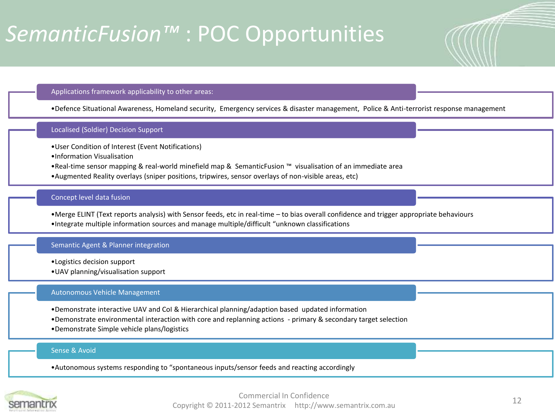### *SemanticFusion™* : POC Opportunities

#### Applications framework applicability to other areas:

•Defence Situational Awareness, Homeland security, Emergency services & disaster management, Police & Anti-terrorist response management

#### Localised (Soldier) Decision Support

- •User Condition of Interest (Event Notifications)
- •Information Visualisation
- •Real-time sensor mapping & real-world minefield map & SemanticFusion ™ visualisation of an immediate area
- •Augmented Reality overlays (sniper positions, tripwires, sensor overlays of non-visible areas, etc)

#### Concept level data fusion

•Merge ELINT (Text reports analysis) with Sensor feeds, etc in real-time – to bias overall confidence and trigger appropriate behaviours •Integrate multiple information sources and manage multiple/difficult "unknown classifications

#### Semantic Agent & Planner integration

- •Logistics decision support
- •UAV planning/visualisation support

#### Autonomous Vehicle Management

- •Demonstrate interactive UAV and CoI & Hierarchical planning/adaption based updated information
- •Demonstrate environmental interaction with core and replanning actions primary & secondary target selection
- •Demonstrate Simple vehicle plans/logistics

#### Sense & Avoid

•Autonomous systems responding to "spontaneous inputs/sensor feeds and reacting accordingly

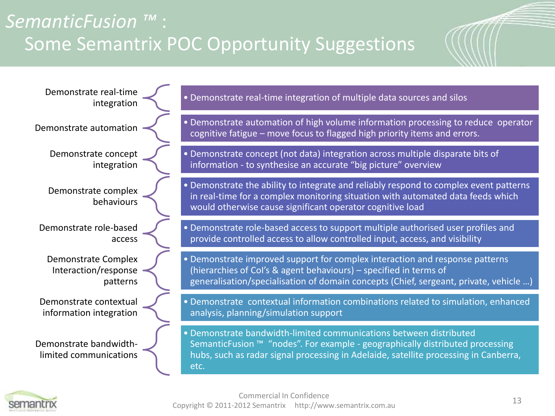### *SemanticFusion ™* : Some Semantrix POC Opportunity Suggestions

Demonstrate real-time Demonstrate concept integration Demonstrate complex behaviours Demonstrate role-based access Demonstrate Complex Interaction/response patterns Demonstrate contextual information integration Demonstrate bandwidthlimited communications

### integration • Demonstrate real-time integration of multiple data sources and silos integration

- **Demonstrate automation Demonstrate automation of high volume information processing to reduce operator** cognitive fatigue – move focus to flagged high priority items and errors.
	- Demonstrate concept (not data) integration across multiple disparate bits of information - to synthesise an accurate "big picture" overview

• Demonstrate the ability to integrate and reliably respond to complex event patterns in real-time for a complex monitoring situation with automated data feeds which would otherwise cause significant operator cognitive load

- Demonstrate role-based access to support multiple authorised user profiles and provide controlled access to allow controlled input, access, and visibility
- Demonstrate improved support for complex interaction and response patterns (hierarchies of CoI's & agent behaviours) – specified in terms of generalisation/specialisation of domain concepts (Chief, sergeant, private, vehicle …)

• Demonstrate contextual information combinations related to simulation, enhanced analysis, planning/simulation support

• Demonstrate bandwidth-limited communications between distributed SemanticFusion ™ "nodes". For example - geographically distributed processing hubs, such as radar signal processing in Adelaide, satellite processing in Canberra, etc.

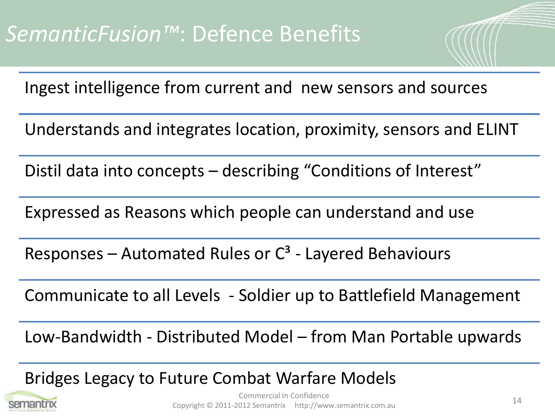Ingest intelligence from current and new sensors and sources

Understands and integrates location, proximity, sensors and ELINT

Distil data into concepts – describing "Conditions of Interest"

Expressed as Reasons which people can understand and use

Responses – Automated Rules or  $C^3$  - Layered Behaviours

Communicate to all Levels - Soldier up to Battlefield Management

Low-Bandwidth - Distributed Model – from Man Portable upwards

Bridges Legacy to Future Combat Warfare Models

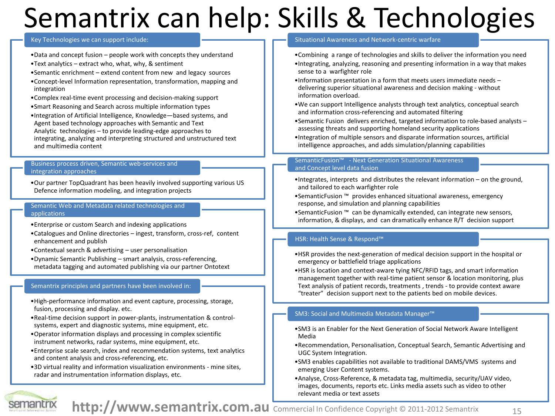### Semantrix can help: Skills & Technologies

#### Key Technologies we can support include:

- •Data and concept fusion people work with concepts they understand
- •Text analytics extract who, what, why, & sentiment
- •Semantic enrichment extend content from new and legacy sources
- •Concept-level Information representation, transformation, mapping and integration
- •Complex real-time event processing and decision-making support
- •Smart Reasoning and Search across multiple information types
- •Integration of Artificial Intelligence, Knowledge—based systems, and Agent based technology approaches with Semantic and Text Analytic technologies – to provide leading-edge approaches to integrating, analyzing and interpreting structured and unstructured text and multimedia content

#### Business process driven, Semantic web-services and integration approaches

•Our partner TopQuadrant has been heavily involved supporting various US Defence information modeling, and integration projects

#### Semantic Web and Metadata related technologies and applications

- •Enterprise or custom Search and indexing applications
- •Catalogues and Online directories ingest, transform, cross-ref, content enhancement and publish
- •Contextual search & advertising user personalisation
- •Dynamic Semantic Publishing smart analysis, cross-referencing, metadata tagging and automated publishing via our partner Ontotext

#### Semantrix principles and partners have been involved in:

- •High-performance information and event capture, processing, storage, fusion, processing and display. etc.
- •Real-time decision support in power-plants, instrumentation & controlsystems, expert and diagnostic systems, mine equipment, etc.
- •Operator information displays and processing in complex scientific instrument networks, radar systems, mine equipment, etc.
- •Enterprise scale search, index and recommendation systems, text analytics and content analysis and cross-referencing, etc.
- •3D virtual reality and information visualization environments mine sites, radar and instrumentation information displays, etc.

#### Situational Awareness and Network-centric warfare

- •Combining a range of technologies and skills to deliver the information you need •Integrating, analyzing, reasoning and presenting information in a way that makes sense to a warfighter role
- •Information presentation in a form that meets users immediate needs delivering superior situational awareness and decision making - without information overload.
- •We can support Intelligence analysts through text analytics, conceptual search and information cross-referencing and automated filtering
- •Semantic Fusion delivers enriched, targeted information to role-based analysts assessing threats and supporting homeland security applications
- •Integration of multiple sensors and disparate information sources, artificial intelligence approaches, and adds simulation/planning capabilities

#### SemanticFusion™ - Next Generation Situational Awareness and Concept level data fusion

- •Integrates, interprets and distributes the relevant information on the ground, and tailored to each warfighter role
- •SemanticFusion ™ provides enhanced situational awareness, emergency response, and simulation and planning capabilities
- •SemanticFusion ™ can be dynamically extended, can integrate new sensors, information, & displays, and can dramatically enhance R/T decision support

#### HSR: Health Sense & Respond™

- •HSR provides the next-generation of medical decision support in the hospital or emergency or battlefield triage applications
- •HSR is location and context-aware tying NFC/RFID tags, and smart information management together with real-time patient sensor & location monitoring, plus Text analysis of patient records, treatments , trends - to provide context aware "treater" decision support next to the patients bed on mobile devices.

#### SM3: Social and Multimedia Metadata Manager™

- •SM3 is an Enabler for the Next Generation of Social Network Aware Intelligent Media
- •Recommendation, Personalisation, Conceptual Search, Semantic Advertising and UGC System Integration.
- •SM3 enables capabilities not available to traditional DAMS/VMS systems and emerging User Content systems.
- •Analyse, Cross-Reference, & metadata tag, multimedia, security/UAV video, images, documents, reports etc. Links media assets such as video to other relevant media or text assets



http://www.semantrix.com.au **Commercial In Confidence Copyright © 2011-2012 Semantrix**